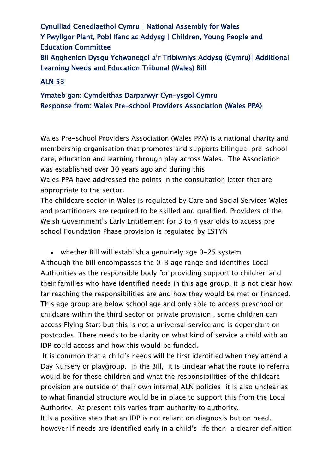Cynulliad Cenedlaethol Cymru | National Assembly for Wales Y Pwyllgor Plant, Pobl Ifanc ac Addysg | Children, Young People and Education Committee Bil Anghenion Dysgu Ychwanegol a'r Tribiwnlys Addysg (Cymru)| Additional Learning Needs and Education Tribunal (Wales) Bill

## ALN 53

## Ymateb gan: Cymdeithas Darparwyr Cyn-ysgol Cymru Response from: Wales Pre-school Providers Association (Wales PPA)

Wales Pre-school Providers Association (Wales PPA) is a national charity and membership organisation that promotes and supports bilingual pre-school care, education and learning through play across Wales. The Association was established over 30 years ago and during this

Wales PPA have addressed the points in the consultation letter that are appropriate to the sector.

The childcare sector in Wales is regulated by Care and Social Services Wales and practitioners are required to be skilled and qualified. Providers of the Welsh Government's Early Entitlement for 3 to 4 year olds to access pre school Foundation Phase provision is regulated by ESTYN

• whether Bill will establish a genuinely age 0-25 system Although the bill encompasses the 0-3 age range and identifies Local Authorities as the responsible body for providing support to children and their families who have identified needs in this age group, it is not clear how far reaching the responsibilities are and how they would be met or financed. This age group are below school age and only able to access preschool or childcare within the third sector or private provision , some children can access Flying Start but this is not a universal service and is dependant on postcodes. There needs to be clarity on what kind of service a child with an IDP could access and how this would be funded.

It is common that a child's needs will be first identified when they attend a Day Nursery or playgroup. In the Bill, it is unclear what the route to referral would be for these children and what the responsibilities of the childcare provision are outside of their own internal ALN policies it is also unclear as to what financial structure would be in place to support this from the Local Authority. At present this varies from authority to authority.

It is a positive step that an IDP is not reliant on diagnosis but on need. however if needs are identified early in a child's life then a clearer definition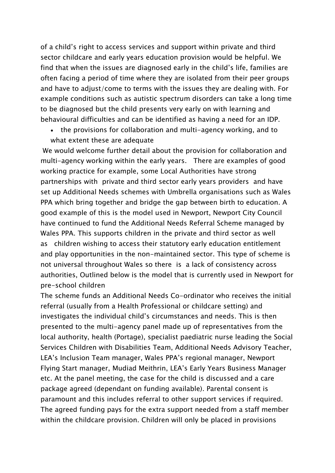of a child's right to access services and support within private and third sector childcare and early years education provision would be helpful. We find that when the issues are diagnosed early in the child's life, families are often facing a period of time where they are isolated from their peer groups and have to adjust/come to terms with the issues they are dealing with. For example conditions such as autistic spectrum disorders can take a long time to be diagnosed but the child presents very early on with learning and behavioural difficulties and can be identified as having a need for an IDP.

• the provisions for collaboration and multi-agency working, and to what extent these are adequate

We would welcome further detail about the provision for collaboration and multi-agency working within the early years. There are examples of good working practice for example, some Local Authorities have strong partnerships with private and third sector early years providers and have set up Additional Needs schemes with Umbrella organisations such as Wales PPA which bring together and bridge the gap between birth to education. A good example of this is the model used in Newport, Newport City Council have continued to fund the Additional Needs Referral Scheme managed by Wales PPA. This supports children in the private and third sector as well as children wishing to access their statutory early education entitlement and play opportunities in the non-maintained sector. This type of scheme is not universal throughout Wales so there is a lack of consistency across authorities, Outlined below is the model that is currently used in Newport for pre-school children

The scheme funds an Additional Needs Co-ordinator who receives the initial referral (usually from a Health Professional or childcare setting) and investigates the individual child's circumstances and needs. This is then presented to the multi-agency panel made up of representatives from the local authority, health (Portage), specialist paediatric nurse leading the Social Services Children with Disabilities Team, Additional Needs Advisory Teacher, LEA's Inclusion Team manager, Wales PPA's regional manager, Newport Flying Start manager, Mudiad Meithrin, LEA's Early Years Business Manager etc. At the panel meeting, the case for the child is discussed and a care package agreed (dependant on funding available). Parental consent is paramount and this includes referral to other support services if required. The agreed funding pays for the extra support needed from a staff member within the childcare provision. Children will only be placed in provisions